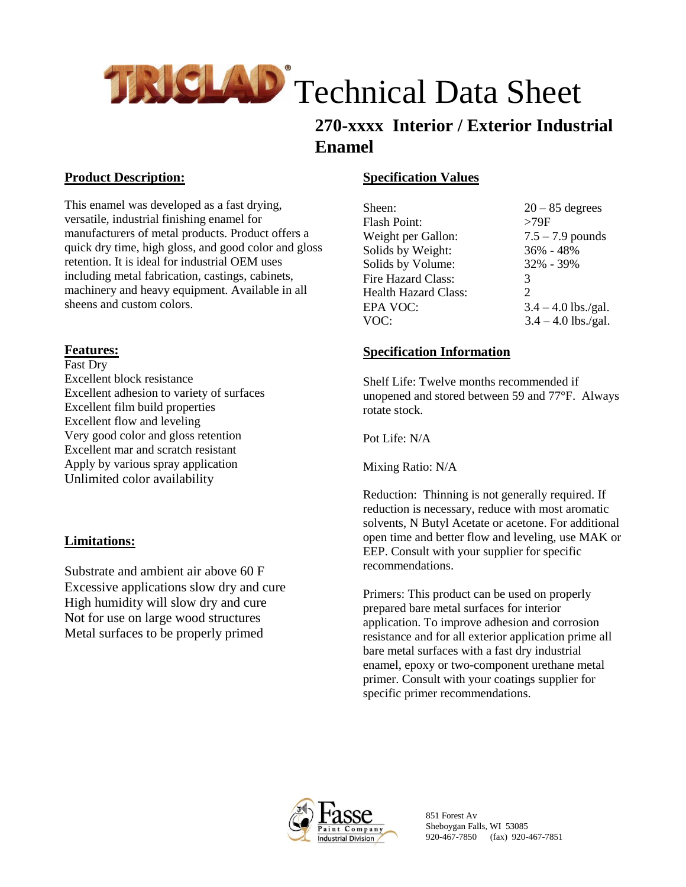

## **270-xxxx Interior / Exterior Industrial Enamel**

#### **Product Description:**

This enamel was developed as a fast drying, versatile, industrial finishing enamel for manufacturers of metal products. Product offers a quick dry time, high gloss, and good color and gloss retention. It is ideal for industrial OEM uses including metal fabrication, castings, cabinets, machinery and heavy equipment. Available in all sheens and custom colors.

### **Features:**

Fast Dry Excellent block resistance Excellent adhesion to variety of surfaces Excellent film build properties Excellent flow and leveling Very good color and gloss retention Excellent mar and scratch resistant Apply by various spray application Unlimited color availability

### **Limitations:**

Substrate and ambient air above 60 F Excessive applications slow dry and cure High humidity will slow dry and cure Not for use on large wood structures Metal surfaces to be properly primed

#### **Specification Values**

| $20 - 85$ degrees     |
|-----------------------|
| >79F                  |
| $7.5 - 7.9$ pounds    |
| 36% - 48%             |
| 32% - 39%             |
| 3                     |
| $\mathcal{D}_{\cdot}$ |
| $3.4 - 4.0$ lbs./gal. |
| $3.4 - 4.0$ lbs./gal. |
|                       |

#### **Specification Information**

Shelf Life: Twelve months recommended if unopened and stored between 59 and 77°F. Always rotate stock.

Pot Life: N/A

Mixing Ratio: N/A

Reduction: Thinning is not generally required. If reduction is necessary, reduce with most aromatic solvents, N Butyl Acetate or acetone. For additional open time and better flow and leveling, use MAK or EEP. Consult with your supplier for specific recommendations.

Primers: This product can be used on properly prepared bare metal surfaces for interior application. To improve adhesion and corrosion resistance and for all exterior application prime all bare metal surfaces with a fast dry industrial enamel, epoxy or two-component urethane metal primer. Consult with your coatings supplier for specific primer recommendations.



851 Forest Av Sheboygan Falls, WI 53085 920-467-7850 (fax) 920-467-7851